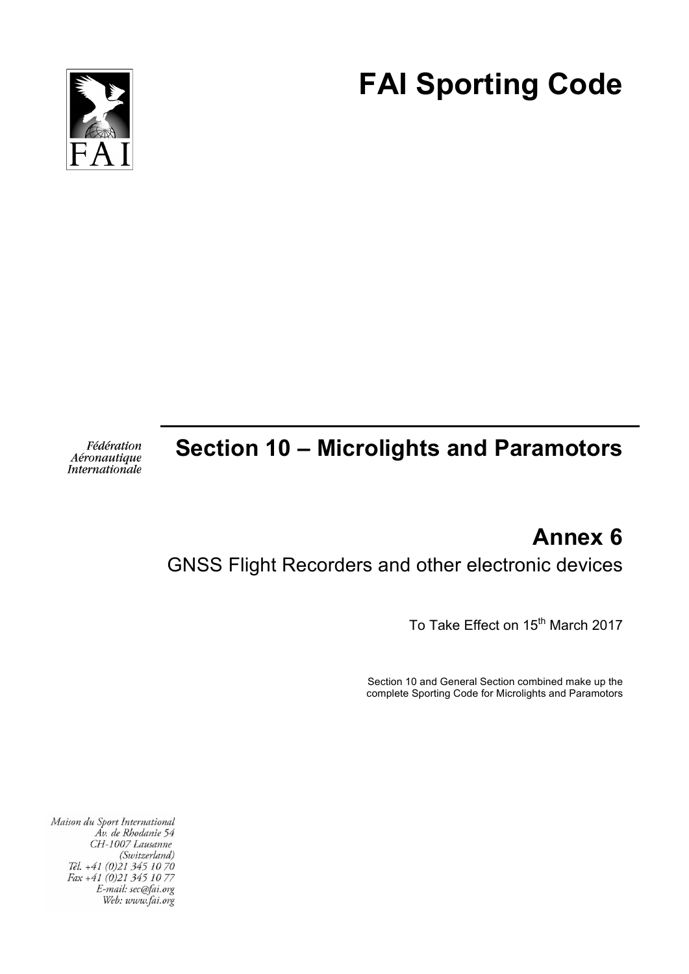

# **FAI Sporting Code**

Fédération Aéronautique Internationale

# **Section 10 – Microlights and Paramotors**

# **Annex 6**

# GNSS Flight Recorders and other electronic devices

To Take Effect on 15<sup>th</sup> March 2017

Section 10 and General Section combined make up the complete Sporting Code for Microlights and Paramotors

Maison du Sport International Áv. de Rhodanie 54 CH-1007 Lausanne (Switzerland) Tél. +41 (0)21 345 10 70 Fax +41 (0)21 345 10 77 E-mail: sec@fai.org Web: www.fai.org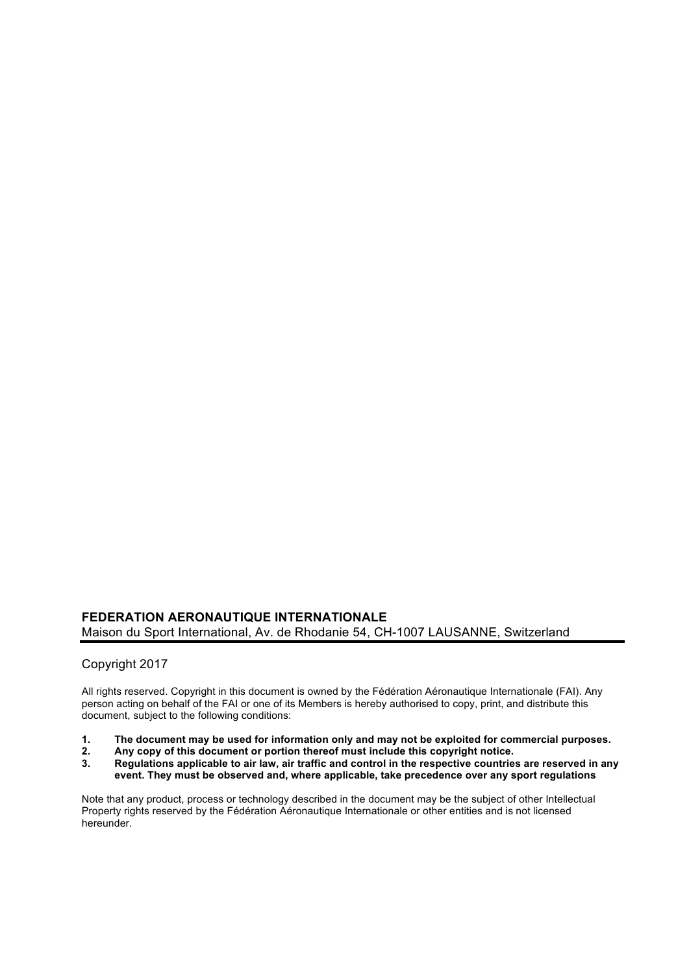#### **FEDERATION AERONAUTIQUE INTERNATIONALE** Maison du Sport International, Av. de Rhodanie 54, CH-1007 LAUSANNE, Switzerland

#### Copyright 2017

All rights reserved. Copyright in this document is owned by the Fédération Aéronautique Internationale (FAI). Any person acting on behalf of the FAI or one of its Members is hereby authorised to copy, print, and distribute this document, subject to the following conditions:

- **1. The document may be used for information only and may not be exploited for commercial purposes.**
- **2. Any copy of this document or portion thereof must include this copyright notice.**
- **3. Regulations applicable to air law, air traffic and control in the respective countries are reserved in any event. They must be observed and, where applicable, take precedence over any sport regulations**

Note that any product, process or technology described in the document may be the subject of other Intellectual Property rights reserved by the Fédération Aéronautique Internationale or other entities and is not licensed hereunder.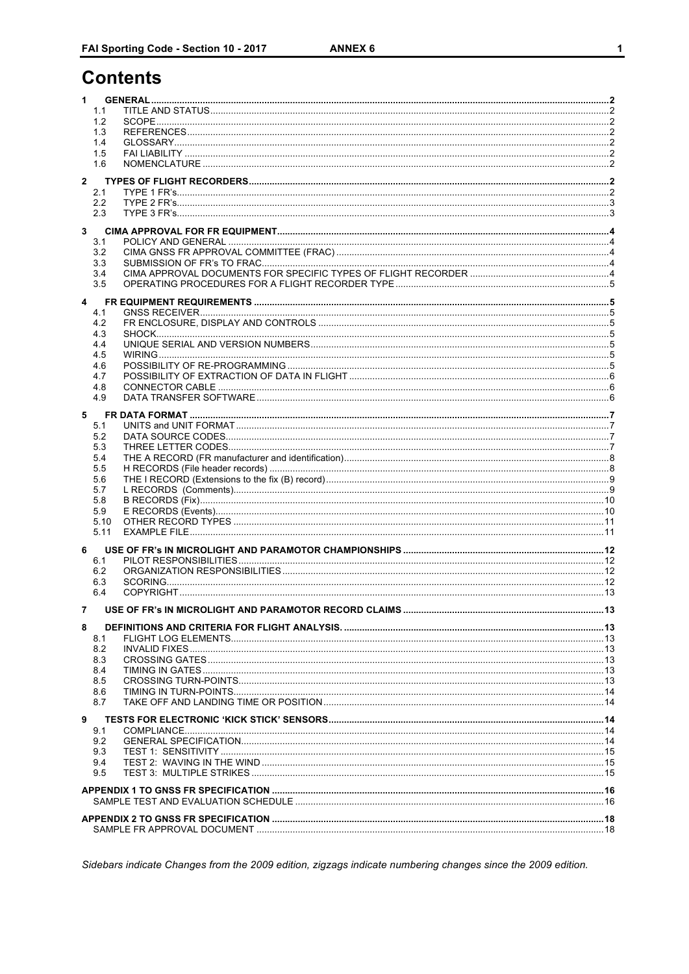# **Contents**

| 1            |              |  |
|--------------|--------------|--|
|              | 1.1          |  |
|              | 1.2          |  |
|              | 1.3          |  |
|              | 1.4          |  |
|              | 1.5<br>1.6   |  |
|              |              |  |
| $\mathbf{2}$ |              |  |
|              | 2.1<br>2.2   |  |
|              | 2.3          |  |
|              |              |  |
| 3            | 3.1          |  |
|              | 3.2          |  |
|              | 3.3          |  |
|              | 3.4          |  |
|              | 3.5          |  |
| 4            |              |  |
|              | 4.1          |  |
|              | 4.2          |  |
|              | 4.3          |  |
|              | 4.4<br>4.5   |  |
|              | 4.6          |  |
|              | 4.7          |  |
|              | 4.8          |  |
|              | 4.9          |  |
| 5            |              |  |
|              | 5.1          |  |
|              | 5.2          |  |
|              | 5.3<br>5.4   |  |
|              | 5.5          |  |
|              | 5.6          |  |
|              | 5.7          |  |
|              | 5.8          |  |
|              | 5.9          |  |
|              | 5.10<br>5.11 |  |
|              |              |  |
| 6            |              |  |
|              | 6.1<br>6.2   |  |
|              | 6.3          |  |
|              | 6.4          |  |
|              |              |  |
|              |              |  |
| 8            |              |  |
|              | 8.1<br>8.2   |  |
|              | 8.3          |  |
|              | 8.4          |  |
|              | 8.5          |  |
|              | 8.6          |  |
|              | 8.7          |  |
| 9            |              |  |
|              | 9.1          |  |
|              | 9.2          |  |
|              | 9.3<br>9.4   |  |
|              | 9.5          |  |
|              |              |  |
|              |              |  |
|              |              |  |
|              |              |  |
|              |              |  |

Sidebars indicate Changes from the 2009 edition, zigzags indicate numbering changes since the 2009 edition.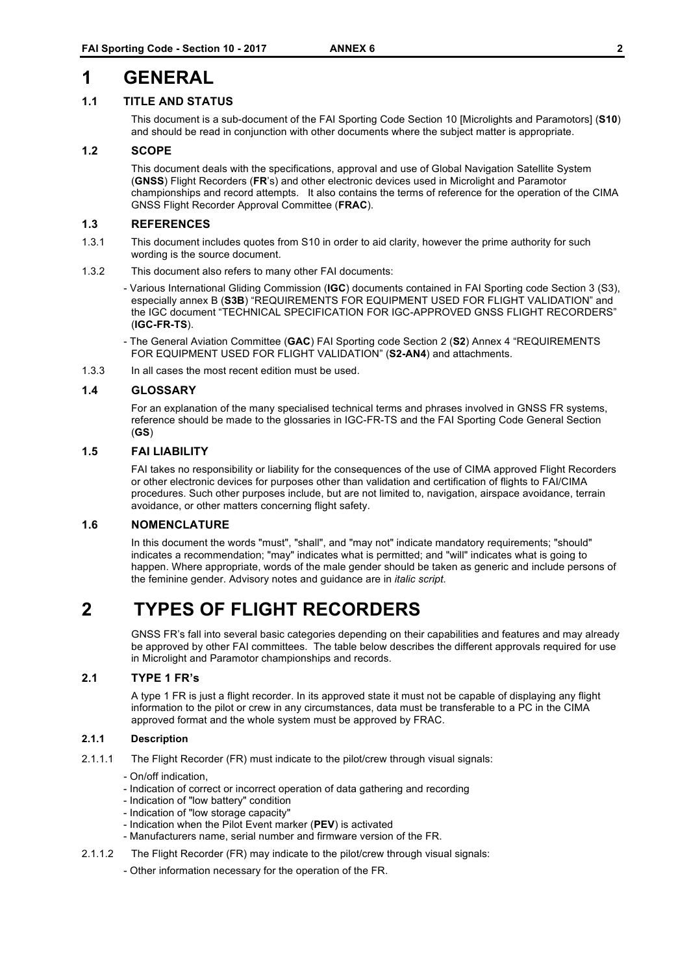### **1 GENERAL**

#### **1.1 TITLE AND STATUS**

This document is a sub-document of the FAI Sporting Code Section 10 [Microlights and Paramotors] (**S10**) and should be read in conjunction with other documents where the subject matter is appropriate.

#### **1.2 SCOPE**

This document deals with the specifications, approval and use of Global Navigation Satellite System (**GNSS**) Flight Recorders (**FR**'s) and other electronic devices used in Microlight and Paramotor championships and record attempts. It also contains the terms of reference for the operation of the CIMA GNSS Flight Recorder Approval Committee (**FRAC**).

#### **1.3 REFERENCES**

- 1.3.1 This document includes quotes from S10 in order to aid clarity, however the prime authority for such wording is the source document.
- 1.3.2 This document also refers to many other FAI documents:
	- Various International Gliding Commission (**IGC**) documents contained in FAI Sporting code Section 3 (S3), especially annex B (**S3B**) "REQUIREMENTS FOR EQUIPMENT USED FOR FLIGHT VALIDATION" and the IGC document "TECHNICAL SPECIFICATION FOR IGC-APPROVED GNSS FLIGHT RECORDERS" (**IGC-FR-TS**).
	- The General Aviation Committee (**GAC**) FAI Sporting code Section 2 (**S2**) Annex 4 "REQUIREMENTS FOR EQUIPMENT USED FOR FLIGHT VALIDATION" (**S2-AN4**) and attachments.
- 1.3.3 In all cases the most recent edition must be used.

#### **1.4 GLOSSARY**

For an explanation of the many specialised technical terms and phrases involved in GNSS FR systems, reference should be made to the glossaries in IGC-FR-TS and the FAI Sporting Code General Section (**GS**)

#### **1.5 FAI LIABILITY**

FAI takes no responsibility or liability for the consequences of the use of CIMA approved Flight Recorders or other electronic devices for purposes other than validation and certification of flights to FAI/CIMA procedures. Such other purposes include, but are not limited to, navigation, airspace avoidance, terrain avoidance, or other matters concerning flight safety.

#### **1.6 NOMENCLATURE**

In this document the words "must", "shall", and "may not" indicate mandatory requirements; "should" indicates a recommendation; "may" indicates what is permitted; and "will" indicates what is going to happen. Where appropriate, words of the male gender should be taken as generic and include persons of the feminine gender. Advisory notes and guidance are in *italic script*.

# **2 TYPES OF FLIGHT RECORDERS**

GNSS FR's fall into several basic categories depending on their capabilities and features and may already be approved by other FAI committees. The table below describes the different approvals required for use in Microlight and Paramotor championships and records.

#### **2.1 TYPE 1 FR's**

A type 1 FR is just a flight recorder. In its approved state it must not be capable of displaying any flight information to the pilot or crew in any circumstances, data must be transferable to a PC in the CIMA approved format and the whole system must be approved by FRAC.

#### **2.1.1 Description**

- 2.1.1.1 The Flight Recorder (FR) must indicate to the pilot/crew through visual signals:
	- On/off indication,
	- Indication of correct or incorrect operation of data gathering and recording
	- Indication of "low battery" condition
	- Indication of "low storage capacity"
	- Indication when the Pilot Event marker (**PEV**) is activated
	- Manufacturers name, serial number and firmware version of the FR.
- 2.1.1.2 The Flight Recorder (FR) may indicate to the pilot/crew through visual signals:
	- Other information necessary for the operation of the FR.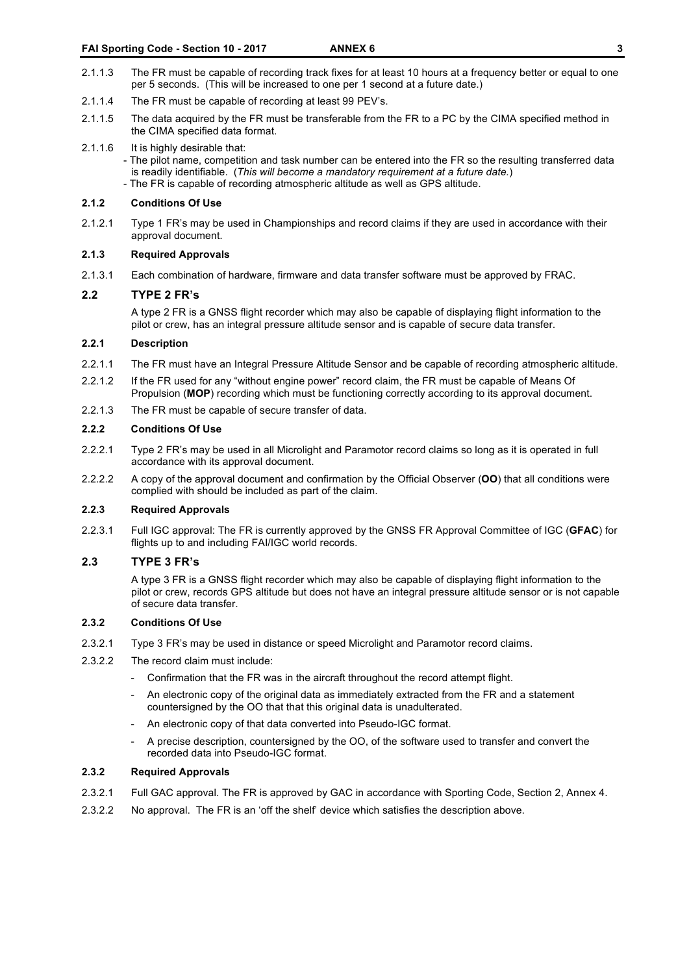- 2.1.1.3 The FR must be capable of recording track fixes for at least 10 hours at a frequency better or equal to one per 5 seconds. (This will be increased to one per 1 second at a future date.)
- 2.1.1.4 The FR must be capable of recording at least 99 PEV's.
- 2.1.1.5 The data acquired by the FR must be transferable from the FR to a PC by the CIMA specified method in the CIMA specified data format.
- 2.1.1.6 It is highly desirable that: - The pilot name, competition and task number can be entered into the FR so the resulting transferred data is readily identifiable. (*This will become a mandatory requirement at a future date.*) - The FR is capable of recording atmospheric altitude as well as GPS altitude.

#### **2.1.2 Conditions Of Use**

2.1.2.1 Type 1 FR's may be used in Championships and record claims if they are used in accordance with their approval document.

#### **2.1.3 Required Approvals**

2.1.3.1 Each combination of hardware, firmware and data transfer software must be approved by FRAC.

#### **2.2 TYPE 2 FR's**

A type 2 FR is a GNSS flight recorder which may also be capable of displaying flight information to the pilot or crew, has an integral pressure altitude sensor and is capable of secure data transfer.

#### **2.2.1 Description**

- 2.2.1.1 The FR must have an Integral Pressure Altitude Sensor and be capable of recording atmospheric altitude.
- 2.2.1.2 If the FR used for any "without engine power" record claim, the FR must be capable of Means Of Propulsion (**MOP**) recording which must be functioning correctly according to its approval document.
- 2.2.1.3 The FR must be capable of secure transfer of data.

#### **2.2.2 Conditions Of Use**

- 2.2.2.1 Type 2 FR's may be used in all Microlight and Paramotor record claims so long as it is operated in full accordance with its approval document.
- 2.2.2.2 A copy of the approval document and confirmation by the Official Observer (**OO**) that all conditions were complied with should be included as part of the claim.

#### **2.2.3 Required Approvals**

2.2.3.1 Full IGC approval: The FR is currently approved by the GNSS FR Approval Committee of IGC (**GFAC**) for flights up to and including FAI/IGC world records.

#### **2.3 TYPE 3 FR's**

A type 3 FR is a GNSS flight recorder which may also be capable of displaying flight information to the pilot or crew, records GPS altitude but does not have an integral pressure altitude sensor or is not capable of secure data transfer.

#### **2.3.2 Conditions Of Use**

- 2.3.2.1 Type 3 FR's may be used in distance or speed Microlight and Paramotor record claims.
- 2.3.2.2 The record claim must include:
	- Confirmation that the FR was in the aircraft throughout the record attempt flight.
	- An electronic copy of the original data as immediately extracted from the FR and a statement countersigned by the OO that that this original data is unadulterated.
	- An electronic copy of that data converted into Pseudo-IGC format.
	- A precise description, countersigned by the OO, of the software used to transfer and convert the recorded data into Pseudo-IGC format.

#### **2.3.2 Required Approvals**

- 2.3.2.1 Full GAC approval. The FR is approved by GAC in accordance with Sporting Code, Section 2, Annex 4.
- 2.3.2.2 No approval. The FR is an 'off the shelf' device which satisfies the description above.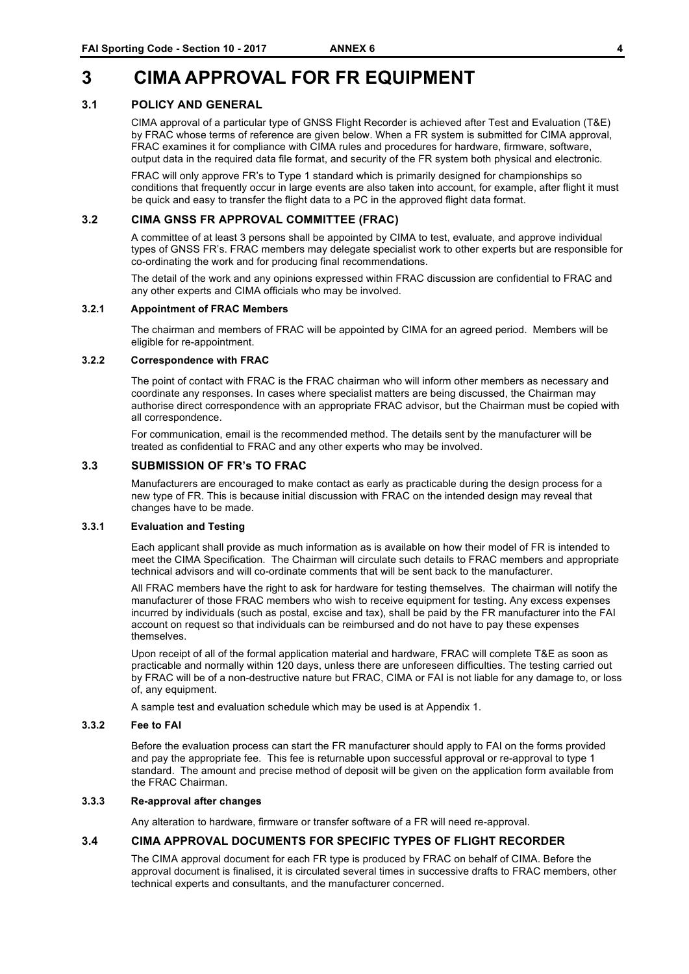# **3 CIMA APPROVAL FOR FR EQUIPMENT**

#### **3.1 POLICY AND GENERAL**

CIMA approval of a particular type of GNSS Flight Recorder is achieved after Test and Evaluation (T&E) by FRAC whose terms of reference are given below. When a FR system is submitted for CIMA approval, FRAC examines it for compliance with CIMA rules and procedures for hardware, firmware, software, output data in the required data file format, and security of the FR system both physical and electronic.

FRAC will only approve FR's to Type 1 standard which is primarily designed for championships so conditions that frequently occur in large events are also taken into account, for example, after flight it must be quick and easy to transfer the flight data to a PC in the approved flight data format.

#### **3.2 CIMA GNSS FR APPROVAL COMMITTEE (FRAC)**

A committee of at least 3 persons shall be appointed by CIMA to test, evaluate, and approve individual types of GNSS FR's. FRAC members may delegate specialist work to other experts but are responsible for co-ordinating the work and for producing final recommendations.

The detail of the work and any opinions expressed within FRAC discussion are confidential to FRAC and any other experts and CIMA officials who may be involved.

#### **3.2.1 Appointment of FRAC Members**

The chairman and members of FRAC will be appointed by CIMA for an agreed period. Members will be eligible for re-appointment.

#### **3.2.2 Correspondence with FRAC**

The point of contact with FRAC is the FRAC chairman who will inform other members as necessary and coordinate any responses. In cases where specialist matters are being discussed, the Chairman may authorise direct correspondence with an appropriate FRAC advisor, but the Chairman must be copied with all correspondence.

For communication, email is the recommended method. The details sent by the manufacturer will be treated as confidential to FRAC and any other experts who may be involved.

#### **3.3 SUBMISSION OF FR's TO FRAC**

Manufacturers are encouraged to make contact as early as practicable during the design process for a new type of FR. This is because initial discussion with FRAC on the intended design may reveal that changes have to be made.

#### **3.3.1 Evaluation and Testing**

Each applicant shall provide as much information as is available on how their model of FR is intended to meet the CIMA Specification. The Chairman will circulate such details to FRAC members and appropriate technical advisors and will co-ordinate comments that will be sent back to the manufacturer.

All FRAC members have the right to ask for hardware for testing themselves. The chairman will notify the manufacturer of those FRAC members who wish to receive equipment for testing. Any excess expenses incurred by individuals (such as postal, excise and tax), shall be paid by the FR manufacturer into the FAI account on request so that individuals can be reimbursed and do not have to pay these expenses themselves.

Upon receipt of all of the formal application material and hardware, FRAC will complete T&E as soon as practicable and normally within 120 days, unless there are unforeseen difficulties. The testing carried out by FRAC will be of a non-destructive nature but FRAC, CIMA or FAI is not liable for any damage to, or loss of, any equipment.

A sample test and evaluation schedule which may be used is at Appendix 1.

#### **3.3.2 Fee to FAI**

Before the evaluation process can start the FR manufacturer should apply to FAI on the forms provided and pay the appropriate fee. This fee is returnable upon successful approval or re-approval to type 1 standard. The amount and precise method of deposit will be given on the application form available from the FRAC Chairman.

#### **3.3.3 Re-approval after changes**

Any alteration to hardware, firmware or transfer software of a FR will need re-approval.

#### **3.4 CIMA APPROVAL DOCUMENTS FOR SPECIFIC TYPES OF FLIGHT RECORDER**

The CIMA approval document for each FR type is produced by FRAC on behalf of CIMA. Before the approval document is finalised, it is circulated several times in successive drafts to FRAC members, other technical experts and consultants, and the manufacturer concerned.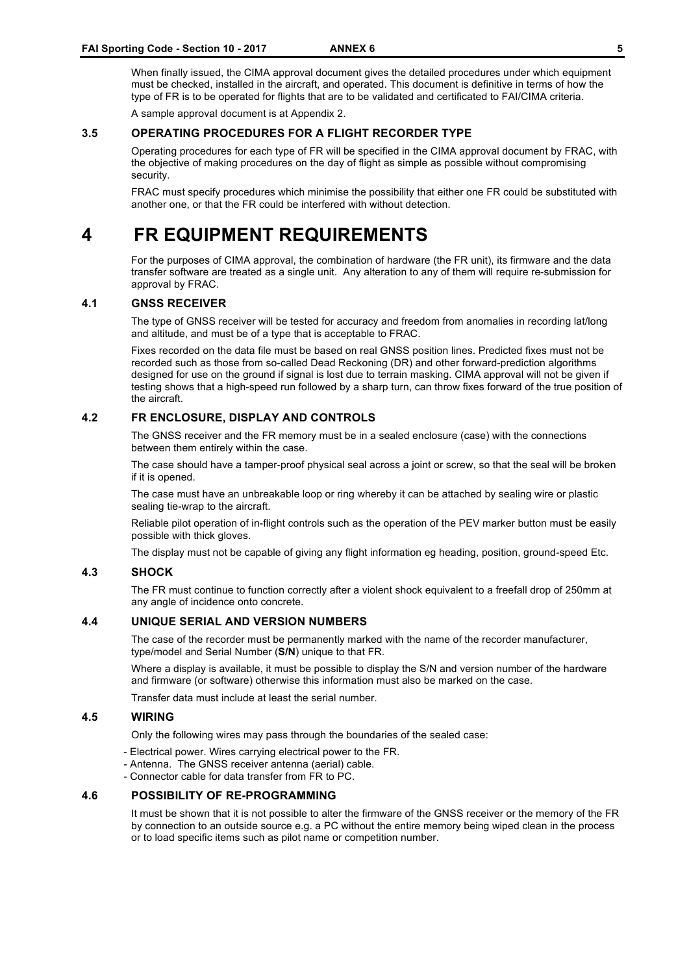When finally issued, the CIMA approval document gives the detailed procedures under which equipment must be checked, installed in the aircraft, and operated. This document is definitive in terms of how the type of FR is to be operated for flights that are to be validated and certificated to FAI/CIMA criteria.

A sample approval document is at Appendix 2.

#### **3.5 OPERATING PROCEDURES FOR A FLIGHT RECORDER TYPE**

Operating procedures for each type of FR will be specified in the CIMA approval document by FRAC, with the objective of making procedures on the day of flight as simple as possible without compromising security.

FRAC must specify procedures which minimise the possibility that either one FR could be substituted with another one, or that the FR could be interfered with without detection.

# **4 FR EQUIPMENT REQUIREMENTS**

For the purposes of CIMA approval, the combination of hardware (the FR unit), its firmware and the data transfer software are treated as a single unit. Any alteration to any of them will require re-submission for approval by FRAC.

#### **4.1 GNSS RECEIVER**

The type of GNSS receiver will be tested for accuracy and freedom from anomalies in recording lat/long and altitude, and must be of a type that is acceptable to FRAC.

Fixes recorded on the data file must be based on real GNSS position lines. Predicted fixes must not be recorded such as those from so-called Dead Reckoning (DR) and other forward-prediction algorithms designed for use on the ground if signal is lost due to terrain masking. CIMA approval will not be given if testing shows that a high-speed run followed by a sharp turn, can throw fixes forward of the true position of the aircraft.

#### **4.2 FR ENCLOSURE, DISPLAY AND CONTROLS**

The GNSS receiver and the FR memory must be in a sealed enclosure (case) with the connections between them entirely within the case.

The case should have a tamper-proof physical seal across a joint or screw, so that the seal will be broken if it is opened.

The case must have an unbreakable loop or ring whereby it can be attached by sealing wire or plastic sealing tie-wrap to the aircraft.

Reliable pilot operation of in-flight controls such as the operation of the PEV marker button must be easily possible with thick gloves.

The display must not be capable of giving any flight information eg heading, position, ground-speed Etc.

#### **4.3 SHOCK**

The FR must continue to function correctly after a violent shock equivalent to a freefall drop of 250mm at any angle of incidence onto concrete.

#### **4.4 UNIQUE SERIAL AND VERSION NUMBERS**

The case of the recorder must be permanently marked with the name of the recorder manufacturer, type/model and Serial Number (**S/N**) unique to that FR.

Where a display is available, it must be possible to display the S/N and version number of the hardware and firmware (or software) otherwise this information must also be marked on the case.

Transfer data must include at least the serial number.

#### **4.5 WIRING**

Only the following wires may pass through the boundaries of the sealed case:

- Electrical power. Wires carrying electrical power to the FR.
- Antenna. The GNSS receiver antenna (aerial) cable.
- Connector cable for data transfer from FR to PC.

#### **4.6 POSSIBILITY OF RE-PROGRAMMING**

It must be shown that it is not possible to alter the firmware of the GNSS receiver or the memory of the FR by connection to an outside source e.g. a PC without the entire memory being wiped clean in the process or to load specific items such as pilot name or competition number.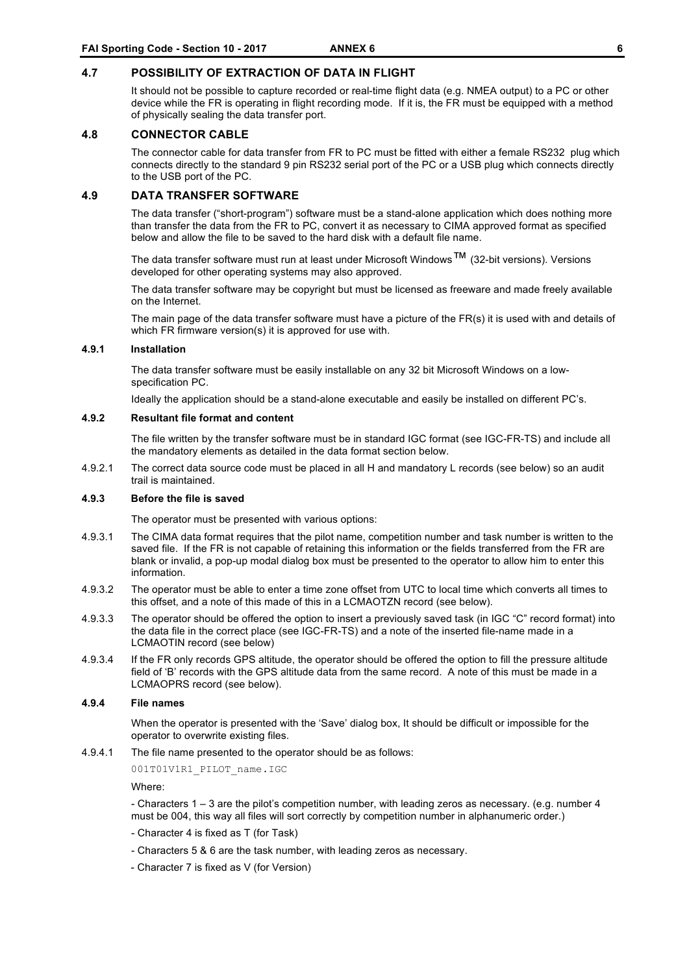#### **4.7 POSSIBILITY OF EXTRACTION OF DATA IN FLIGHT**

It should not be possible to capture recorded or real-time flight data (e.g. NMEA output) to a PC or other device while the FR is operating in flight recording mode. If it is, the FR must be equipped with a method of physically sealing the data transfer port.

#### **4.8 CONNECTOR CABLE**

The connector cable for data transfer from FR to PC must be fitted with either a female RS232 plug which connects directly to the standard 9 pin RS232 serial port of the PC or a USB plug which connects directly to the USB port of the PC.

#### **4.9 DATA TRANSFER SOFTWARE**

The data transfer ("short-program") software must be a stand-alone application which does nothing more than transfer the data from the FR to PC, convert it as necessary to CIMA approved format as specified below and allow the file to be saved to the hard disk with a default file name.

The data transfer software must run at least under Microsoft Windows™ (32-bit versions). Versions developed for other operating systems may also approved.

The data transfer software may be copyright but must be licensed as freeware and made freely available on the Internet.

The main page of the data transfer software must have a picture of the FR(s) it is used with and details of which FR firmware version(s) it is approved for use with.

#### **4.9.1 Installation**

The data transfer software must be easily installable on any 32 bit Microsoft Windows on a lowspecification PC.

Ideally the application should be a stand-alone executable and easily be installed on different PC's.

#### **4.9.2 Resultant file format and content**

The file written by the transfer software must be in standard IGC format (see IGC-FR-TS) and include all the mandatory elements as detailed in the data format section below.

4.9.2.1 The correct data source code must be placed in all H and mandatory L records (see below) so an audit trail is maintained.

#### **4.9.3 Before the file is saved**

The operator must be presented with various options:

- 4.9.3.1 The CIMA data format requires that the pilot name, competition number and task number is written to the saved file. If the FR is not capable of retaining this information or the fields transferred from the FR are blank or invalid, a pop-up modal dialog box must be presented to the operator to allow him to enter this information.
- 4.9.3.2 The operator must be able to enter a time zone offset from UTC to local time which converts all times to this offset, and a note of this made of this in a LCMAOTZN record (see below).
- 4.9.3.3 The operator should be offered the option to insert a previously saved task (in IGC "C" record format) into the data file in the correct place (see IGC-FR-TS) and a note of the inserted file-name made in a LCMAOTIN record (see below)
- 4.9.3.4 If the FR only records GPS altitude, the operator should be offered the option to fill the pressure altitude field of 'B' records with the GPS altitude data from the same record. A note of this must be made in a LCMAOPRS record (see below).

#### **4.9.4 File names**

When the operator is presented with the 'Save' dialog box, It should be difficult or impossible for the operator to overwrite existing files.

4.9.4.1 The file name presented to the operator should be as follows:

001T01V1R1\_PILOT\_name.IGC

Where:

- Characters 1 – 3 are the pilot's competition number, with leading zeros as necessary. (e.g. number 4 must be 004, this way all files will sort correctly by competition number in alphanumeric order.)

- Character 4 is fixed as T (for Task)
- Characters 5 & 6 are the task number, with leading zeros as necessary.
- Character 7 is fixed as V (for Version)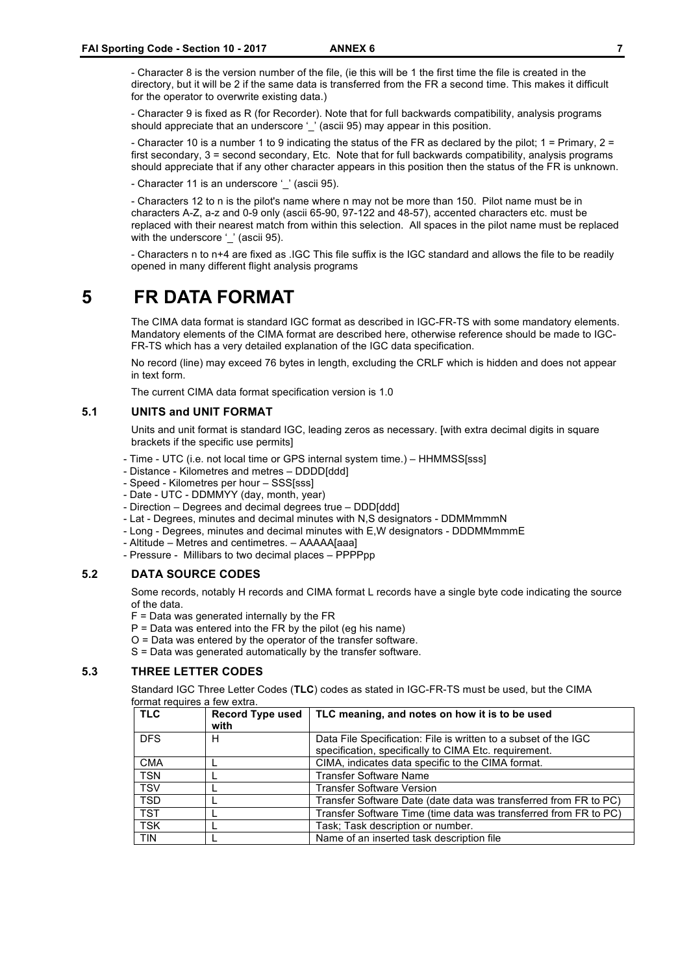- Character 8 is the version number of the file, (ie this will be 1 the first time the file is created in the directory, but it will be 2 if the same data is transferred from the FR a second time. This makes it difficult for the operator to overwrite existing data.)

- Character 9 is fixed as R (for Recorder). Note that for full backwards compatibility, analysis programs should appreciate that an underscore '' (ascii 95) may appear in this position.

- Character 10 is a number 1 to 9 indicating the status of the FR as declared by the pilot; 1 = Primary, 2 = first secondary, 3 = second secondary, Etc. Note that for full backwards compatibility, analysis programs should appreciate that if any other character appears in this position then the status of the FR is unknown.

- Character 11 is an underscore ' ' (ascii 95).

- Characters 12 to n is the pilot's name where n may not be more than 150. Pilot name must be in characters A-Z, a-z and 0-9 only (ascii 65-90, 97-122 and 48-57), accented characters etc. must be replaced with their nearest match from within this selection. All spaces in the pilot name must be replaced with the underscore ' ' (ascii 95).

- Characters n to n+4 are fixed as .IGC This file suffix is the IGC standard and allows the file to be readily opened in many different flight analysis programs

# **5 FR DATA FORMAT**

The CIMA data format is standard IGC format as described in IGC-FR-TS with some mandatory elements. Mandatory elements of the CIMA format are described here, otherwise reference should be made to IGC-FR-TS which has a very detailed explanation of the IGC data specification.

No record (line) may exceed 76 bytes in length, excluding the CRLF which is hidden and does not appear in text form.

The current CIMA data format specification version is 1.0

#### **5.1 UNITS and UNIT FORMAT**

Units and unit format is standard IGC, leading zeros as necessary. [with extra decimal digits in square brackets if the specific use permits]

- Time UTC (i.e. not local time or GPS internal system time.) HHMMSS[sss]
- Distance Kilometres and metres DDDD[ddd]
- Speed Kilometres per hour SSS[sss]
- Date UTC DDMMYY (day, month, year)
- Direction Degrees and decimal degrees true DDD[ddd]
- Lat Degrees, minutes and decimal minutes with N,S designators DDMMmmmN
- Long Degrees, minutes and decimal minutes with E,W designators DDDMMmmmE
- Altitude Metres and centimetres. AAAAA[aaa]
- Pressure Millibars to two decimal places PPPPpp

#### **5.2 DATA SOURCE CODES**

Some records, notably H records and CIMA format L records have a single byte code indicating the source of the data.

- $F =$  Data was generated internally by the  $FR$
- $P = Data$  was entered into the FR by the pilot (eg his name)
- O = Data was entered by the operator of the transfer software.

S = Data was generated automatically by the transfer software.

#### **5.3 THREE LETTER CODES**

Standard IGC Three Letter Codes (**TLC**) codes as stated in IGC-FR-TS must be used, but the CIMA format requires a few extra.

| <b>TLC</b> | <b>Record Type used</b><br>with | TLC meaning, and notes on how it is to be used                                                                           |
|------------|---------------------------------|--------------------------------------------------------------------------------------------------------------------------|
| <b>DFS</b> | н                               | Data File Specification: File is written to a subset of the IGC<br>specification, specifically to CIMA Etc. requirement. |
| <b>CMA</b> |                                 | CIMA, indicates data specific to the CIMA format.                                                                        |
| <b>TSN</b> |                                 | <b>Transfer Software Name</b>                                                                                            |
| <b>TSV</b> |                                 | <b>Transfer Software Version</b>                                                                                         |
| <b>TSD</b> |                                 | Transfer Software Date (date data was transferred from FR to PC)                                                         |
| <b>TST</b> |                                 | Transfer Software Time (time data was transferred from FR to PC)                                                         |
| <b>TSK</b> |                                 | Task; Task description or number.                                                                                        |
| <b>TIN</b> |                                 | Name of an inserted task description file                                                                                |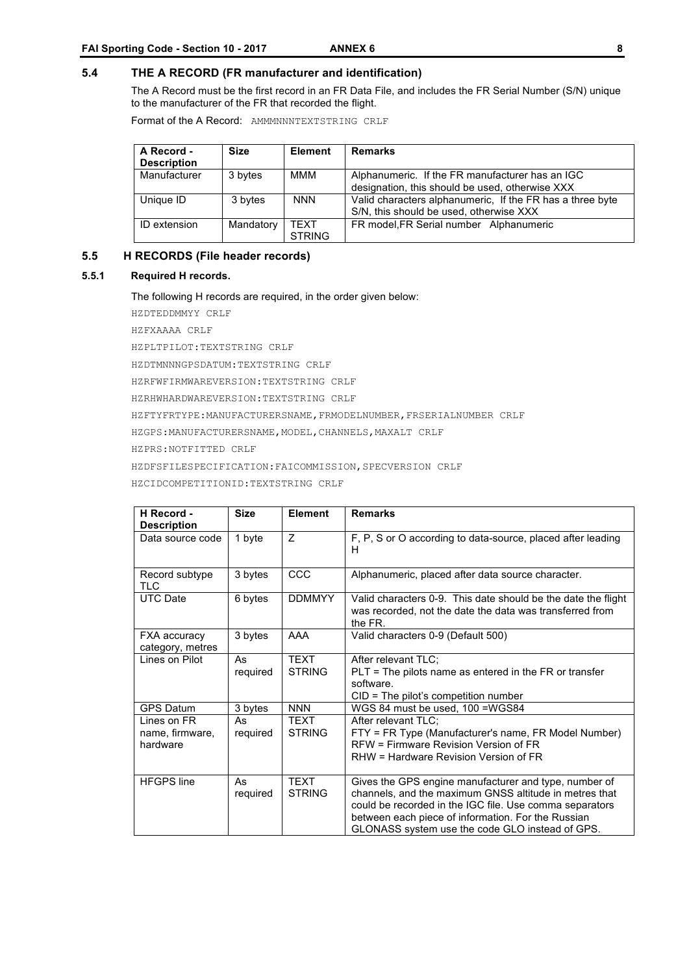#### **5.4 THE A RECORD (FR manufacturer and identification)**

The A Record must be the first record in an FR Data File, and includes the FR Serial Number (S/N) unique to the manufacturer of the FR that recorded the flight.

Format of the A Record: AMMMNNNTEXTSTRING CRLF

| A Record -<br><b>Description</b> | <b>Size</b> | <b>Element</b>        | <b>Remarks</b>                                                                                       |
|----------------------------------|-------------|-----------------------|------------------------------------------------------------------------------------------------------|
| Manufacturer                     | 3 bytes     | MMM                   | Alphanumeric. If the FR manufacturer has an IGC<br>designation, this should be used, otherwise XXX   |
| Unique ID                        | 3 bytes     | <b>NNN</b>            | Valid characters alphanumeric. If the FR has a three byte<br>S/N, this should be used, otherwise XXX |
| ID extension                     | Mandatory   | TEXT<br><b>STRING</b> | FR model, FR Serial number Alphanumeric                                                              |

#### **5.5 H RECORDS (File header records)**

#### **5.5.1 Required H records.**

The following H records are required, in the order given below:

HZDTEDDMMYY CRLF

HZFXAAAA CRLF

HZPLTPILOT:TEXTSTRING CRLF

HZDTMNNNGPSDATUM:TEXTSTRING CRLF

HZRFWFIRMWAREVERSION:TEXTSTRING CRLF

HZRHWHARDWAREVERSION:TEXTSTRING CRLF

HZFTYFRTYPE:MANUFACTURERSNAME,FRMODELNUMBER,FRSERIALNUMBER CRLF

HZGPS: MANUFACTURERSNAME, MODEL, CHANNELS, MAXALT CRLF

HZPRS:NOTFITTED CRLF

HZDFSFILESPECIFICATION:FAICOMMISSION,SPECVERSION CRLF

HZCIDCOMPETITIONID:TEXTSTRING CRLF

| H Record -<br><b>Description</b>           | <b>Size</b>    | <b>Element</b>               | <b>Remarks</b>                                                                                                                                                                                                                                                                      |
|--------------------------------------------|----------------|------------------------------|-------------------------------------------------------------------------------------------------------------------------------------------------------------------------------------------------------------------------------------------------------------------------------------|
| Data source code                           | 1 byte         | Z                            | F, P, S or O according to data-source, placed after leading<br>H                                                                                                                                                                                                                    |
| Record subtype<br><b>TLC</b>               | 3 bytes        | CCC                          | Alphanumeric, placed after data source character.                                                                                                                                                                                                                                   |
| <b>UTC Date</b>                            | 6 bytes        | <b>DDMMYY</b>                | Valid characters 0-9. This date should be the date the flight<br>was recorded, not the date the data was transferred from<br>the FR.                                                                                                                                                |
| <b>FXA accuracy</b><br>category, metres    | 3 bytes        | AAA                          | Valid characters 0-9 (Default 500)                                                                                                                                                                                                                                                  |
| Lines on Pilot                             | As<br>required | <b>TEXT</b><br><b>STRING</b> | After relevant TLC;<br>$PLT = The$ pilots name as entered in the FR or transfer<br>software.<br>$CID = The pilot's competition number$                                                                                                                                              |
| <b>GPS Datum</b>                           | 3 bytes        | <b>NNN</b>                   | WGS 84 must be used, 100 = WGS84                                                                                                                                                                                                                                                    |
| Lines on FR<br>name, firmware,<br>hardware | As<br>required | <b>TEXT</b><br><b>STRING</b> | After relevant TLC:<br>FTY = FR Type (Manufacturer's name, FR Model Number)<br>RFW = Firmware Revision Version of FR<br>RHW = Hardware Revision Version of FR                                                                                                                       |
| <b>HFGPS</b> line                          | As<br>required | <b>TEXT</b><br><b>STRING</b> | Gives the GPS engine manufacturer and type, number of<br>channels, and the maximum GNSS altitude in metres that<br>could be recorded in the IGC file. Use comma separators<br>between each piece of information. For the Russian<br>GLONASS system use the code GLO instead of GPS. |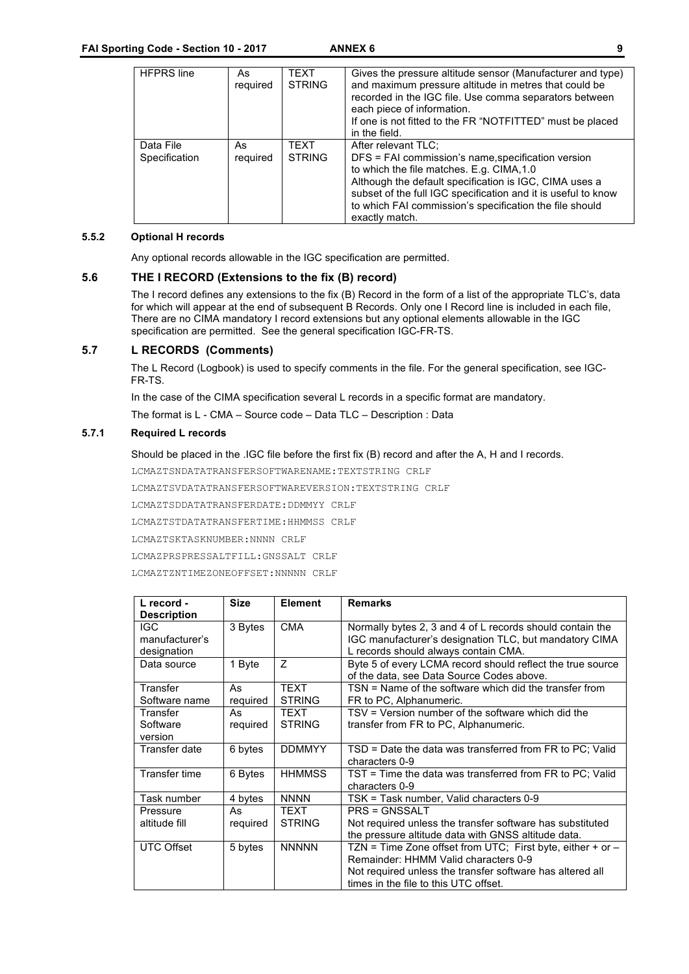| <b>HFPRS</b> line          | As<br>required | TEXT<br><b>STRING</b> | Gives the pressure altitude sensor (Manufacturer and type)<br>and maximum pressure altitude in metres that could be<br>recorded in the IGC file. Use comma separators between<br>each piece of information.<br>If one is not fitted to the FR "NOTFITTED" must be placed<br>in the field.                                      |
|----------------------------|----------------|-----------------------|--------------------------------------------------------------------------------------------------------------------------------------------------------------------------------------------------------------------------------------------------------------------------------------------------------------------------------|
| Data File<br>Specification | As<br>required | TEXT<br><b>STRING</b> | After relevant TLC:<br>DFS = FAI commission's name, specification version<br>to which the file matches. E.g. CIMA, 1.0<br>Although the default specification is IGC, CIMA uses a<br>subset of the full IGC specification and it is useful to know<br>to which FAI commission's specification the file should<br>exactly match. |

#### **5.5.2 Optional H records**

Any optional records allowable in the IGC specification are permitted.

#### **5.6 THE I RECORD (Extensions to the fix (B) record)**

The I record defines any extensions to the fix (B) Record in the form of a list of the appropriate TLC's, data for which will appear at the end of subsequent B Records. Only one I Record line is included in each file, There are no CIMA mandatory I record extensions but any optional elements allowable in the IGC specification are permitted. See the general specification IGC-FR-TS.

#### **5.7 L RECORDS (Comments)**

The L Record (Logbook) is used to specify comments in the file. For the general specification, see IGC-FR-TS.

In the case of the CIMA specification several L records in a specific format are mandatory.

The format is L - CMA – Source code – Data TLC – Description : Data

#### **5.7.1 Required L records**

Should be placed in the .IGC file before the first fix (B) record and after the A, H and I records.

LCMAZTSNDATATRANSFERSOFTWARENAME:TEXTSTRING CRLF

LCMAZTSVDATATRANSFERSOFTWAREVERSION:TEXTSTRING CRLF

LCMAZTSDDATATRANSFERDATE:DDMMYY CRLF

LCMAZTSTDATATRANSFERTIME:HHMMSS CRLF

LCMAZTSKTASKNUMBER:NNNN CRLF

LCMAZPRSPRESSALTFILL:GNSSALT CRLF

LCMAZTZNTIMEZONEOFFSET:NNNNN CRLF

| L record -<br><b>Description</b> | <b>Size</b> | <b>Element</b> | <b>Remarks</b>                                                                                                      |
|----------------------------------|-------------|----------------|---------------------------------------------------------------------------------------------------------------------|
| IGC.<br>manufacturer's           | 3 Bytes     | <b>CMA</b>     | Normally bytes 2, 3 and 4 of L records should contain the<br>IGC manufacturer's designation TLC, but mandatory CIMA |
| designation                      |             |                | L records should always contain CMA.                                                                                |
| Data source                      | 1 Byte      | Z              | Byte 5 of every LCMA record should reflect the true source<br>of the data, see Data Source Codes above.             |
| Transfer                         | As          | <b>TEXT</b>    | TSN = Name of the software which did the transfer from                                                              |
| Software name                    | required    | <b>STRING</b>  | FR to PC, Alphanumeric.                                                                                             |
| Transfer                         | As          | <b>TEXT</b>    | TSV = Version number of the software which did the                                                                  |
| Software                         | required    | <b>STRING</b>  | transfer from FR to PC, Alphanumeric.                                                                               |
| version                          |             |                |                                                                                                                     |
| Transfer date                    | 6 bytes     | <b>DDMMYY</b>  | TSD = Date the data was transferred from FR to PC; Valid<br>characters 0-9                                          |
| <b>Transfer time</b>             | 6 Bytes     | <b>HHMMSS</b>  | TST = Time the data was transferred from FR to PC; Valid<br>characters 0-9                                          |
| Task number                      | 4 bytes     | <b>NNNN</b>    | TSK = Task number, Valid characters 0-9                                                                             |
| Pressure                         | As          | <b>TEXT</b>    | <b>PRS = GNSSALT</b>                                                                                                |
| altitude fill                    | required    | <b>STRING</b>  | Not required unless the transfer software has substituted                                                           |
|                                  |             |                | the pressure altitude data with GNSS altitude data.                                                                 |
| <b>UTC Offset</b>                | 5 bytes     | <b>NNNNN</b>   | TZN = Time Zone offset from UTC; First byte, either + or -                                                          |
|                                  |             |                | Remainder: HHMM Valid characters 0-9                                                                                |
|                                  |             |                | Not required unless the transfer software has altered all                                                           |
|                                  |             |                | times in the file to this UTC offset.                                                                               |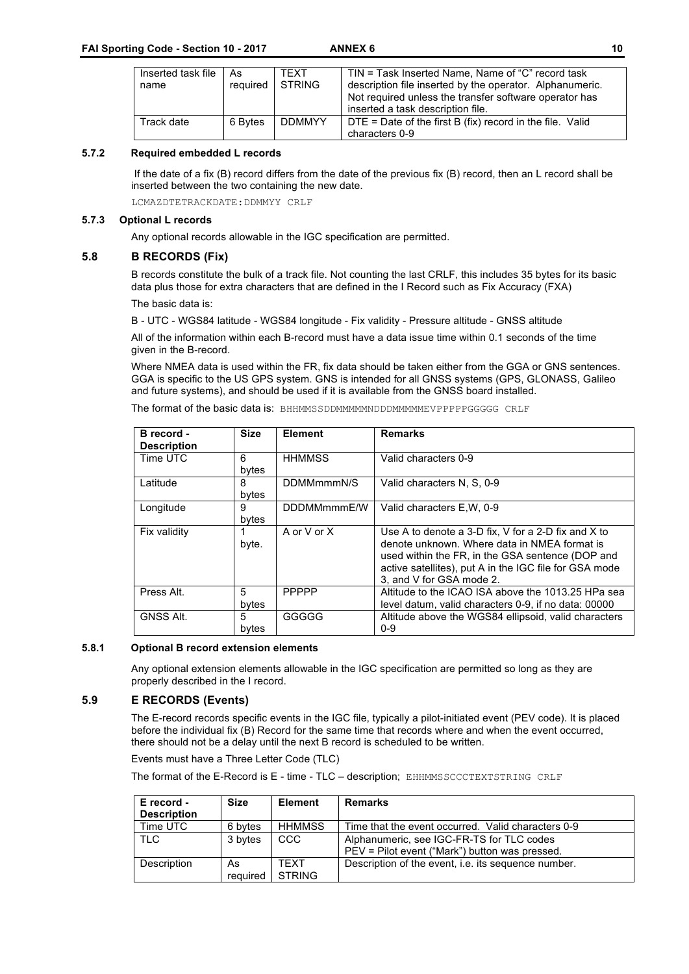| Inserted task file | As       | <b>TFXT</b>   | TIN = Task Inserted Name, Name of "C" record task                                           |
|--------------------|----------|---------------|---------------------------------------------------------------------------------------------|
| name               | required | <b>STRING</b> | description file inserted by the operator. Alphanumeric.                                    |
|                    |          |               | Not required unless the transfer software operator has<br>inserted a task description file. |
| Track date         | 6 Bytes  | <b>DDMMYY</b> | $DTE = Date$ of the first B (fix) record in the file. Valid                                 |
|                    |          |               | characters 0-9                                                                              |

#### **5.7.2 Required embedded L records**

If the date of a fix (B) record differs from the date of the previous fix (B) record, then an L record shall be inserted between the two containing the new date.

LCMAZDTETRACKDATE:DDMMYY CRLF

#### **5.7.3 Optional L records**

Any optional records allowable in the IGC specification are permitted.

#### **5.8 B RECORDS (Fix)**

B records constitute the bulk of a track file. Not counting the last CRLF, this includes 35 bytes for its basic data plus those for extra characters that are defined in the I Record such as Fix Accuracy (FXA) The basic data is:

B - UTC - WGS84 latitude - WGS84 longitude - Fix validity - Pressure altitude - GNSS altitude

All of the information within each B-record must have a data issue time within 0.1 seconds of the time given in the B-record.

Where NMEA data is used within the FR, fix data should be taken either from the GGA or GNS sentences. GGA is specific to the US GPS system. GNS is intended for all GNSS systems (GPS, GLONASS, Galileo and future systems), and should be used if it is available from the GNSS board installed.

The format of the basic data is: BHHMMSSDDMMMMMNDDDMMMMMEVPPPPPGGGGG CRLF

| B record -<br><b>Description</b> | <b>Size</b> | <b>Element</b> | <b>Remarks</b>                                                                                                                                                                                                                                |
|----------------------------------|-------------|----------------|-----------------------------------------------------------------------------------------------------------------------------------------------------------------------------------------------------------------------------------------------|
| Time UTC                         | 6<br>bytes  | <b>HHMMSS</b>  | Valid characters 0-9                                                                                                                                                                                                                          |
| Latitude                         | 8<br>bytes  | DDMMmmmN/S     | Valid characters N, S, 0-9                                                                                                                                                                                                                    |
| Longitude                        | 9<br>bytes  | DDDMMmmmE/W    | Valid characters E, W, 0-9                                                                                                                                                                                                                    |
| Fix validity                     | 1<br>byte.  | A or V or X    | Use A to denote a 3-D fix, V for a 2-D fix and X to<br>denote unknown. Where data in NMEA format is<br>used within the FR, in the GSA sentence (DOP and<br>active satellites), put A in the IGC file for GSA mode<br>3, and V for GSA mode 2. |
| Press Alt.                       | 5<br>bytes  | <b>PPPPP</b>   | Altitude to the ICAO ISA above the 1013.25 HPa sea<br>level datum, valid characters 0-9, if no data: 00000                                                                                                                                    |
| GNSS Alt.                        | 5<br>bytes  | GGGGG          | Altitude above the WGS84 ellipsoid, valid characters<br>$0 - 9$                                                                                                                                                                               |

#### **5.8.1 Optional B record extension elements**

Any optional extension elements allowable in the IGC specification are permitted so long as they are properly described in the I record.

#### **5.9 E RECORDS (Events)**

The E-record records specific events in the IGC file, typically a pilot-initiated event (PEV code). It is placed before the individual fix (B) Record for the same time that records where and when the event occurred, there should not be a delay until the next B record is scheduled to be written.

Events must have a Three Letter Code (TLC)

The format of the E-Record is E - time - TLC – description; EHHMMSSCCCTEXTSTRING CRLF

| E record -<br><b>Description</b> | <b>Size</b>    | <b>Element</b>          | <b>Remarks</b>                                                                              |
|----------------------------------|----------------|-------------------------|---------------------------------------------------------------------------------------------|
| Time UTC                         | 6 bytes        | HHMMSS                  | Time that the event occurred. Valid characters 0-9                                          |
| . TLC                            | 3 bytes        | <b>CCC</b>              | Alphanumeric, see IGC-FR-TS for TLC codes<br>PEV = Pilot event ("Mark") button was pressed. |
| Description                      | As<br>reguired | <b>TFXT</b><br>I STRING | Description of the event, <i>i.e.</i> its sequence number.                                  |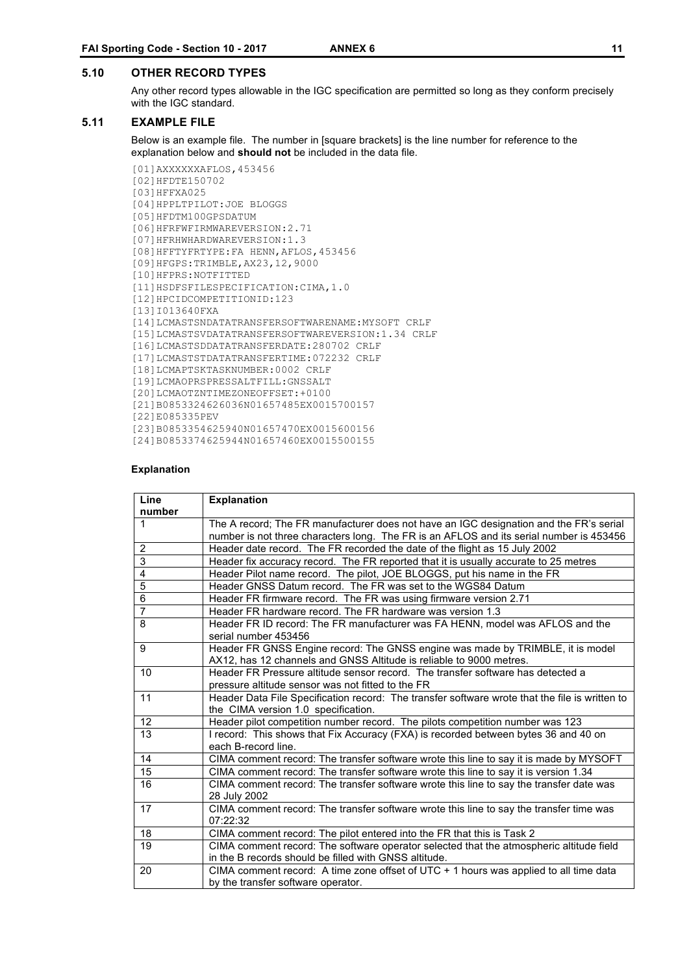#### **5.10 OTHER RECORD TYPES**

Any other record types allowable in the IGC specification are permitted so long as they conform precisely with the IGC standard.

#### **5.11 EXAMPLE FILE**

Below is an example file. The number in [square brackets] is the line number for reference to the explanation below and **should not** be included in the data file.

```
[01]AXXXXXXAFLOS,453456
[02]HFDTE150702 
[03]HFFXA025 
[04]HPPLTPILOT:JOE BLOGGS 
[05]HFDTM100GPSDATUM 
[06]HFRFWFIRMWAREVERSION:2.71 
[07]HFRHWHARDWAREVERSION:1.3 
[08]HFFTYFRTYPE:FA HENN,AFLOS,453456 
[09]HFGPS:TRIMBLE,AX23,12,9000 
[10]HFPRS:NOTFITTED
[11]HSDFSFILESPECIFICATION:CIMA,1.0
[12]HPCIDCOMPETITIONID:123 
[13]I013640FXA 
[14]LCMASTSNDATATRANSFERSOFTWARENAME:MYSOFT CRLF
[15]LCMASTSVDATATRANSFERSOFTWAREVERSION:1.34 CRLF
[16]LCMASTSDDATATRANSFERDATE:280702 CRLF
[17]LCMASTSTDATATRANSFERTIME:072232 CRLF
[18]LCMAPTSKTASKNUMBER:0002 CRLF
[19]LCMAOPRSPRESSALTFILL:GNSSALT 
[20]LCMAOTZNTIMEZONEOFFSET:+0100 
[21]B0853324626036N01657485EX0015700157 
[22]E085335PEV
[23]B0853354625940N01657470EX0015600156
[24]B0853374625944N01657460EX0015500155
```
#### **Explanation**

| Line           | <b>Explanation</b>                                                                             |
|----------------|------------------------------------------------------------------------------------------------|
| number         |                                                                                                |
| $\mathbf{1}$   | The A record; The FR manufacturer does not have an IGC designation and the FR's serial         |
|                | number is not three characters long. The FR is an AFLOS and its serial number is 453456        |
| $\overline{2}$ | Header date record. The FR recorded the date of the flight as 15 July 2002                     |
| 3              | Header fix accuracy record. The FR reported that it is usually accurate to 25 metres           |
| $\overline{4}$ | Header Pilot name record. The pilot, JOE BLOGGS, put his name in the FR                        |
| 5              | Header GNSS Datum record. The FR was set to the WGS84 Datum                                    |
| $\overline{6}$ | Header FR firmware record. The FR was using firmware version 2.71                              |
| $\overline{7}$ | Header FR hardware record. The FR hardware was version 1.3                                     |
| 8              | Header FR ID record: The FR manufacturer was FA HENN, model was AFLOS and the                  |
|                | serial number 453456                                                                           |
| 9              | Header FR GNSS Engine record: The GNSS engine was made by TRIMBLE, it is model                 |
|                | AX12, has 12 channels and GNSS Altitude is reliable to 9000 metres.                            |
| 10             | Header FR Pressure altitude sensor record. The transfer software has detected a                |
|                | pressure altitude sensor was not fitted to the FR                                              |
| 11             | Header Data File Specification record: The transfer software wrote that the file is written to |
|                | the CIMA version 1.0 specification.                                                            |
| 12             | Header pilot competition number record. The pilots competition number was 123                  |
| 13             | I record: This shows that Fix Accuracy (FXA) is recorded between bytes 36 and 40 on            |
|                | each B-record line.                                                                            |
| 14             | CIMA comment record: The transfer software wrote this line to say it is made by MYSOFT         |
| 15             | CIMA comment record: The transfer software wrote this line to say it is version 1.34           |
| 16             | CIMA comment record: The transfer software wrote this line to say the transfer date was        |
|                | 28 July 2002                                                                                   |
| 17             | CIMA comment record: The transfer software wrote this line to say the transfer time was        |
|                | 07:22:32                                                                                       |
| 18             | CIMA comment record: The pilot entered into the FR that this is Task 2                         |
| 19             | CIMA comment record: The software operator selected that the atmospheric altitude field        |
|                | in the B records should be filled with GNSS altitude.                                          |
| 20             | CIMA comment record: A time zone offset of UTC + 1 hours was applied to all time data          |
|                | by the transfer software operator.                                                             |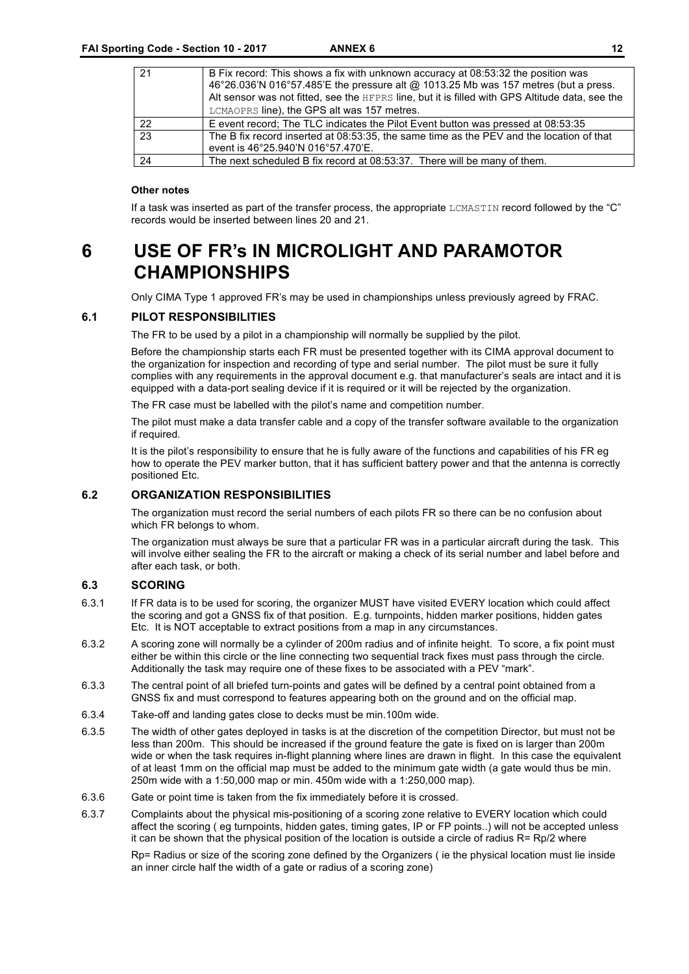| 21 | B Fix record: This shows a fix with unknown accuracy at 08:53:32 the position was<br>46°26.036'N 016°57.485'E the pressure alt @ 1013.25 Mb was 157 metres (but a press.<br>Alt sensor was not fitted, see the HFPRS line, but it is filled with GPS Altitude data, see the<br>LCMAOPRS line), the GPS alt was 157 metres. |
|----|----------------------------------------------------------------------------------------------------------------------------------------------------------------------------------------------------------------------------------------------------------------------------------------------------------------------------|
| 22 | E event record; The TLC indicates the Pilot Event button was pressed at 08:53:35                                                                                                                                                                                                                                           |
| 23 | The B fix record inserted at 08:53:35, the same time as the PEV and the location of that<br>event is 46°25.940'N 016°57.470'E.                                                                                                                                                                                             |
| 24 | The next scheduled B fix record at 08:53:37. There will be many of them.                                                                                                                                                                                                                                                   |

#### **Other notes**

If a task was inserted as part of the transfer process, the appropriate LCMASTIN record followed by the "C" records would be inserted between lines 20 and 21.

# **6 USE OF FR's IN MICROLIGHT AND PARAMOTOR CHAMPIONSHIPS**

Only CIMA Type 1 approved FR's may be used in championships unless previously agreed by FRAC.

#### **6.1 PILOT RESPONSIBILITIES**

The FR to be used by a pilot in a championship will normally be supplied by the pilot.

Before the championship starts each FR must be presented together with its CIMA approval document to the organization for inspection and recording of type and serial number. The pilot must be sure it fully complies with any requirements in the approval document e.g. that manufacturer's seals are intact and it is equipped with a data-port sealing device if it is required or it will be rejected by the organization.

The FR case must be labelled with the pilot's name and competition number.

The pilot must make a data transfer cable and a copy of the transfer software available to the organization if required.

It is the pilot's responsibility to ensure that he is fully aware of the functions and capabilities of his FR eg how to operate the PEV marker button, that it has sufficient battery power and that the antenna is correctly positioned Etc.

#### **6.2 ORGANIZATION RESPONSIBILITIES**

The organization must record the serial numbers of each pilots FR so there can be no confusion about which FR belongs to whom.

The organization must always be sure that a particular FR was in a particular aircraft during the task. This will involve either sealing the FR to the aircraft or making a check of its serial number and label before and after each task, or both.

#### **6.3 SCORING**

- 6.3.1 If FR data is to be used for scoring, the organizer MUST have visited EVERY location which could affect the scoring and got a GNSS fix of that position. E.g. turnpoints, hidden marker positions, hidden gates Etc. It is NOT acceptable to extract positions from a map in any circumstances.
- 6.3.2 A scoring zone will normally be a cylinder of 200m radius and of infinite height. To score, a fix point must either be within this circle or the line connecting two sequential track fixes must pass through the circle. Additionally the task may require one of these fixes to be associated with a PEV "mark".
- 6.3.3 The central point of all briefed turn-points and gates will be defined by a central point obtained from a GNSS fix and must correspond to features appearing both on the ground and on the official map.
- 6.3.4 Take-off and landing gates close to decks must be min.100m wide.
- 6.3.5 The width of other gates deployed in tasks is at the discretion of the competition Director, but must not be less than 200m. This should be increased if the ground feature the gate is fixed on is larger than 200m wide or when the task requires in-flight planning where lines are drawn in flight. In this case the equivalent of at least 1mm on the official map must be added to the minimum gate width (a gate would thus be min. 250m wide with a 1:50,000 map or min. 450m wide with a 1:250,000 map).
- 6.3.6 Gate or point time is taken from the fix immediately before it is crossed.
- 6.3.7 Complaints about the physical mis-positioning of a scoring zone relative to EVERY location which could affect the scoring ( eg turnpoints, hidden gates, timing gates, IP or FP points..) will not be accepted unless it can be shown that the physical position of the location is outside a circle of radius R= Rp/2 where

Rp= Radius or size of the scoring zone defined by the Organizers ( ie the physical location must lie inside an inner circle half the width of a gate or radius of a scoring zone)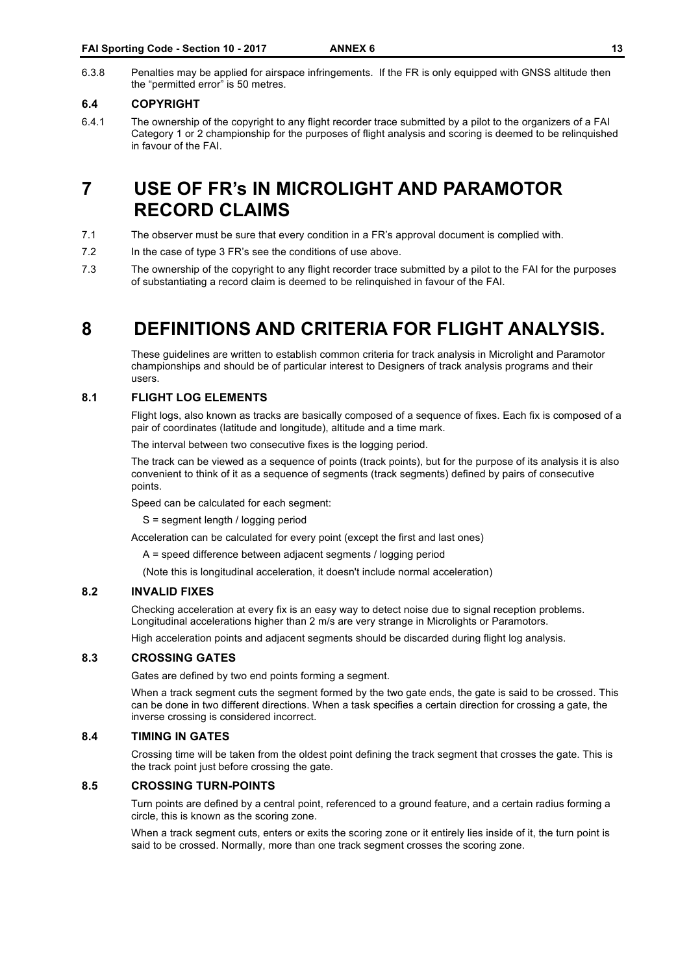6.3.8 Penalties may be applied for airspace infringements. If the FR is only equipped with GNSS altitude then the "permitted error" is 50 metres.

#### **6.4 COPYRIGHT**

6.4.1 The ownership of the copyright to any flight recorder trace submitted by a pilot to the organizers of a FAI Category 1 or 2 championship for the purposes of flight analysis and scoring is deemed to be relinquished in favour of the FAI.

# **7 USE OF FR's IN MICROLIGHT AND PARAMOTOR RECORD CLAIMS**

- 7.1 The observer must be sure that every condition in a FR's approval document is complied with.
- 7.2 In the case of type 3 FR's see the conditions of use above.
- 7.3 The ownership of the copyright to any flight recorder trace submitted by a pilot to the FAI for the purposes of substantiating a record claim is deemed to be relinquished in favour of the FAI.

# **8 DEFINITIONS AND CRITERIA FOR FLIGHT ANALYSIS.**

These guidelines are written to establish common criteria for track analysis in Microlight and Paramotor championships and should be of particular interest to Designers of track analysis programs and their users.

#### **8.1 FLIGHT LOG ELEMENTS**

Flight logs, also known as tracks are basically composed of a sequence of fixes. Each fix is composed of a pair of coordinates (latitude and longitude), altitude and a time mark.

The interval between two consecutive fixes is the logging period.

The track can be viewed as a sequence of points (track points), but for the purpose of its analysis it is also convenient to think of it as a sequence of segments (track segments) defined by pairs of consecutive points.

Speed can be calculated for each segment:

S = segment length / logging period

Acceleration can be calculated for every point (except the first and last ones)

A = speed difference between adjacent segments / logging period

(Note this is longitudinal acceleration, it doesn't include normal acceleration)

#### **8.2 INVALID FIXES**

Checking acceleration at every fix is an easy way to detect noise due to signal reception problems. Longitudinal accelerations higher than 2 m/s are very strange in Microlights or Paramotors.

High acceleration points and adjacent segments should be discarded during flight log analysis.

#### **8.3 CROSSING GATES**

Gates are defined by two end points forming a segment.

When a track segment cuts the segment formed by the two gate ends, the gate is said to be crossed. This can be done in two different directions. When a task specifies a certain direction for crossing a gate, the inverse crossing is considered incorrect.

#### **8.4 TIMING IN GATES**

Crossing time will be taken from the oldest point defining the track segment that crosses the gate. This is the track point just before crossing the gate.

#### **8.5 CROSSING TURN-POINTS**

Turn points are defined by a central point, referenced to a ground feature, and a certain radius forming a circle, this is known as the scoring zone.

When a track segment cuts, enters or exits the scoring zone or it entirely lies inside of it, the turn point is said to be crossed. Normally, more than one track segment crosses the scoring zone.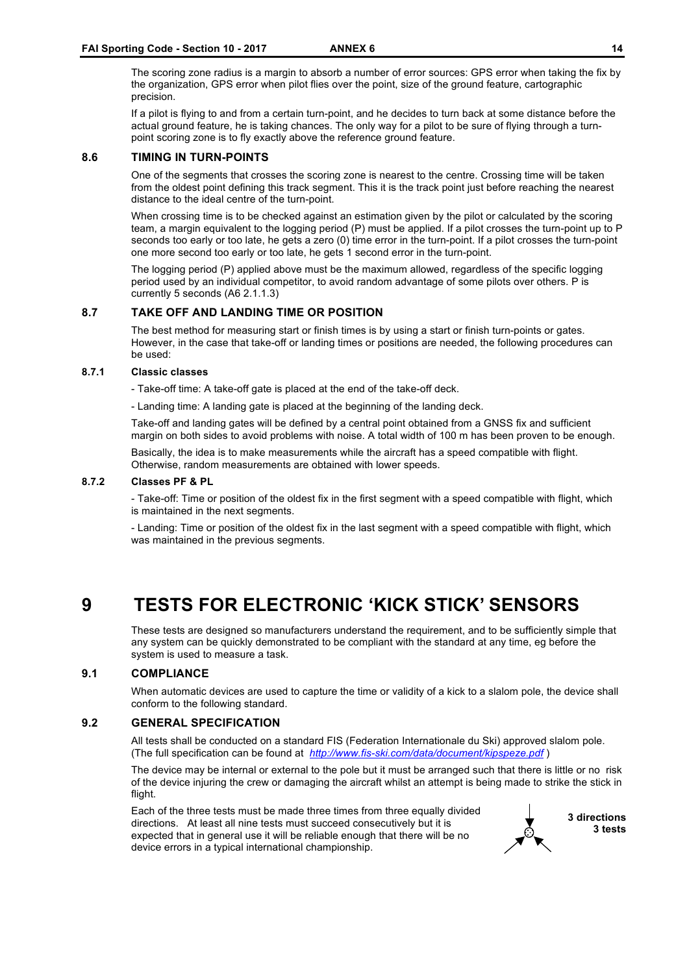The scoring zone radius is a margin to absorb a number of error sources: GPS error when taking the fix by the organization, GPS error when pilot flies over the point, size of the ground feature, cartographic precision.

If a pilot is flying to and from a certain turn-point, and he decides to turn back at some distance before the actual ground feature, he is taking chances. The only way for a pilot to be sure of flying through a turnpoint scoring zone is to fly exactly above the reference ground feature.

#### **8.6 TIMING IN TURN-POINTS**

One of the segments that crosses the scoring zone is nearest to the centre. Crossing time will be taken from the oldest point defining this track segment. This it is the track point just before reaching the nearest distance to the ideal centre of the turn-point.

When crossing time is to be checked against an estimation given by the pilot or calculated by the scoring team, a margin equivalent to the logging period (P) must be applied. If a pilot crosses the turn-point up to P seconds too early or too late, he gets a zero (0) time error in the turn-point. If a pilot crosses the turn-point one more second too early or too late, he gets 1 second error in the turn-point.

The logging period (P) applied above must be the maximum allowed, regardless of the specific logging period used by an individual competitor, to avoid random advantage of some pilots over others. P is currently 5 seconds (A6 2.1.1.3)

#### **8.7 TAKE OFF AND LANDING TIME OR POSITION**

The best method for measuring start or finish times is by using a start or finish turn-points or gates. However, in the case that take-off or landing times or positions are needed, the following procedures can be used:

#### **8.7.1 Classic classes**

- Take-off time: A take-off gate is placed at the end of the take-off deck.

- Landing time: A landing gate is placed at the beginning of the landing deck.

Take-off and landing gates will be defined by a central point obtained from a GNSS fix and sufficient margin on both sides to avoid problems with noise. A total width of 100 m has been proven to be enough.

Basically, the idea is to make measurements while the aircraft has a speed compatible with flight. Otherwise, random measurements are obtained with lower speeds.

#### **8.7.2 Classes PF & PL**

- Take-off: Time or position of the oldest fix in the first segment with a speed compatible with flight, which is maintained in the next segments.

- Landing: Time or position of the oldest fix in the last segment with a speed compatible with flight, which was maintained in the previous segments.

# **9 TESTS FOR ELECTRONIC 'KICK STICK' SENSORS**

These tests are designed so manufacturers understand the requirement, and to be sufficiently simple that any system can be quickly demonstrated to be compliant with the standard at any time, eg before the system is used to measure a task.

#### **9.1 COMPLIANCE**

When automatic devices are used to capture the time or validity of a kick to a slalom pole, the device shall conform to the following standard.

#### **9.2 GENERAL SPECIFICATION**

All tests shall be conducted on a standard FIS (Federation Internationale du Ski) approved slalom pole. (The full specification can be found at *http://www.fis-ski.com/data/document/kipspeze.pdf* )

The device may be internal or external to the pole but it must be arranged such that there is little or no risk of the device injuring the crew or damaging the aircraft whilst an attempt is being made to strike the stick in flight.

Each of the three tests must be made three times from three equally divided directions. At least all nine tests must succeed consecutively but it is expected that in general use it will be reliable enough that there will be no device errors in a typical international championship.

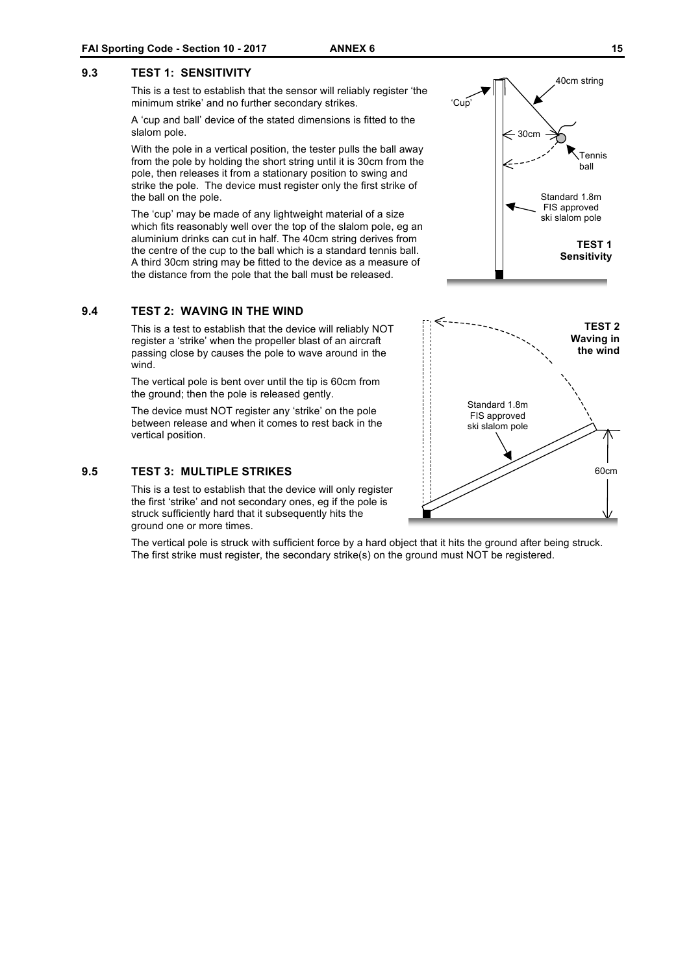#### **9.3 TEST 1: SENSITIVITY**

This is a test to establish that the sensor will reliably register 'the minimum strike' and no further secondary strikes.

A 'cup and ball' device of the stated dimensions is fitted to the slalom pole.

With the pole in a vertical position, the tester pulls the ball away from the pole by holding the short string until it is 30cm from the pole, then releases it from a stationary position to swing and strike the pole. The device must register only the first strike of the ball on the pole.

The 'cup' may be made of any lightweight material of a size which fits reasonably well over the top of the slalom pole, eg an aluminium drinks can cut in half. The 40cm string derives from the centre of the cup to the ball which is a standard tennis ball. A third 30cm string may be fitted to the device as a measure of the distance from the pole that the ball must be released.

#### **9.4 TEST 2: WAVING IN THE WIND**

This is a test to establish that the device will reliably NOT register a 'strike' when the propeller blast of an aircraft passing close by causes the pole to wave around in the wind.

The vertical pole is bent over until the tip is 60cm from the ground; then the pole is released gently.

The device must NOT register any 'strike' on the pole between release and when it comes to rest back in the vertical position.

#### **9.5 TEST 3: MULTIPLE STRIKES**

This is a test to establish that the device will only register the first 'strike' and not secondary ones, eg if the pole is struck sufficiently hard that it subsequently hits the ground one or more times.

The vertical pole is struck with sufficient force by a hard object that it hits the ground after being struck. The first strike must register, the secondary strike(s) on the ground must NOT be registered.



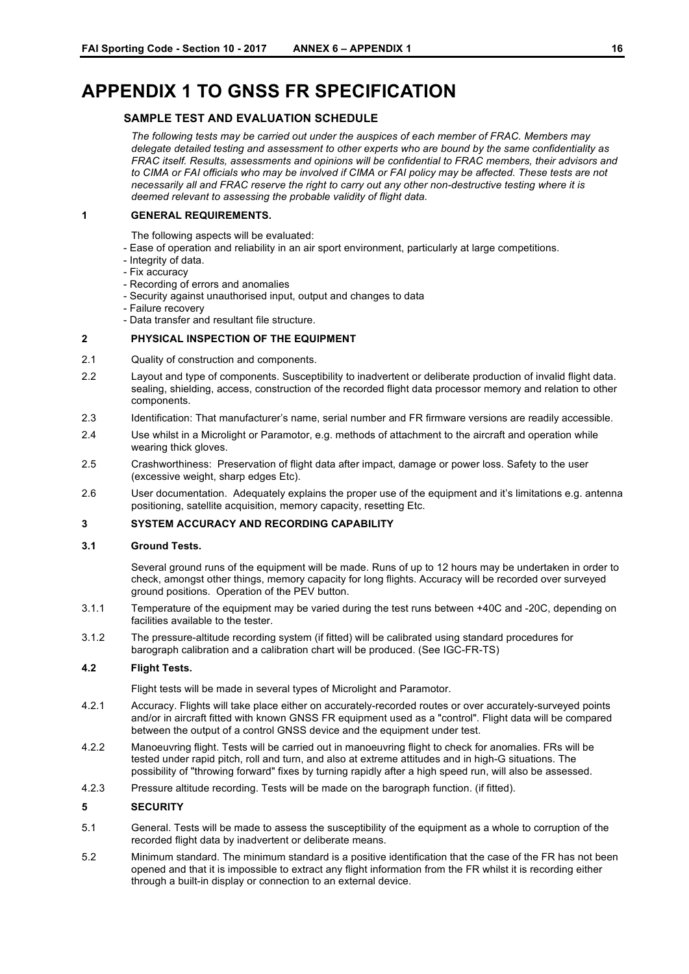# **APPENDIX 1 TO GNSS FR SPECIFICATION**

#### **SAMPLE TEST AND EVALUATION SCHEDULE**

*The following tests may be carried out under the auspices of each member of FRAC. Members may delegate detailed testing and assessment to other experts who are bound by the same confidentiality as FRAC itself. Results, assessments and opinions will be confidential to FRAC members, their advisors and*  to CIMA or FAI officials who may be involved if CIMA or FAI policy may be affected. These tests are not *necessarily all and FRAC reserve the right to carry out any other non-destructive testing where it is deemed relevant to assessing the probable validity of flight data.*

#### **1 GENERAL REQUIREMENTS.**

- The following aspects will be evaluated:
- Ease of operation and reliability in an air sport environment, particularly at large competitions.
- Integrity of data.
- Fix accuracy
- Recording of errors and anomalies
- Security against unauthorised input, output and changes to data
- Failure recovery
- Data transfer and resultant file structure.

#### **2 PHYSICAL INSPECTION OF THE EQUIPMENT**

- 2.1 Quality of construction and components.
- 2.2 Layout and type of components. Susceptibility to inadvertent or deliberate production of invalid flight data. sealing, shielding, access, construction of the recorded flight data processor memory and relation to other components.
- 2.3 Identification: That manufacturer's name, serial number and FR firmware versions are readily accessible.
- 2.4 Use whilst in a Microlight or Paramotor, e.g. methods of attachment to the aircraft and operation while wearing thick gloves.
- 2.5 Crashworthiness: Preservation of flight data after impact, damage or power loss. Safety to the user (excessive weight, sharp edges Etc).
- 2.6 User documentation. Adequately explains the proper use of the equipment and it's limitations e.g. antenna positioning, satellite acquisition, memory capacity, resetting Etc.

#### **3 SYSTEM ACCURACY AND RECORDING CAPABILITY**

#### **3.1 Ground Tests.**

Several ground runs of the equipment will be made. Runs of up to 12 hours may be undertaken in order to check, amongst other things, memory capacity for long flights. Accuracy will be recorded over surveyed ground positions. Operation of the PEV button.

- 3.1.1 Temperature of the equipment may be varied during the test runs between +40C and -20C, depending on facilities available to the tester.
- 3.1.2 The pressure-altitude recording system (if fitted) will be calibrated using standard procedures for barograph calibration and a calibration chart will be produced. (See IGC-FR-TS)

#### **4.2 Flight Tests.**

Flight tests will be made in several types of Microlight and Paramotor.

- 4.2.1 Accuracy. Flights will take place either on accurately-recorded routes or over accurately-surveyed points and/or in aircraft fitted with known GNSS FR equipment used as a "control". Flight data will be compared between the output of a control GNSS device and the equipment under test.
- 4.2.2 Manoeuvring flight. Tests will be carried out in manoeuvring flight to check for anomalies. FRs will be tested under rapid pitch, roll and turn, and also at extreme attitudes and in high-G situations. The possibility of "throwing forward" fixes by turning rapidly after a high speed run, will also be assessed.
- 4.2.3 Pressure altitude recording. Tests will be made on the barograph function. (if fitted).

#### **5 SECURITY**

- 5.1 General. Tests will be made to assess the susceptibility of the equipment as a whole to corruption of the recorded flight data by inadvertent or deliberate means.
- 5.2 Minimum standard. The minimum standard is a positive identification that the case of the FR has not been opened and that it is impossible to extract any flight information from the FR whilst it is recording either through a built-in display or connection to an external device.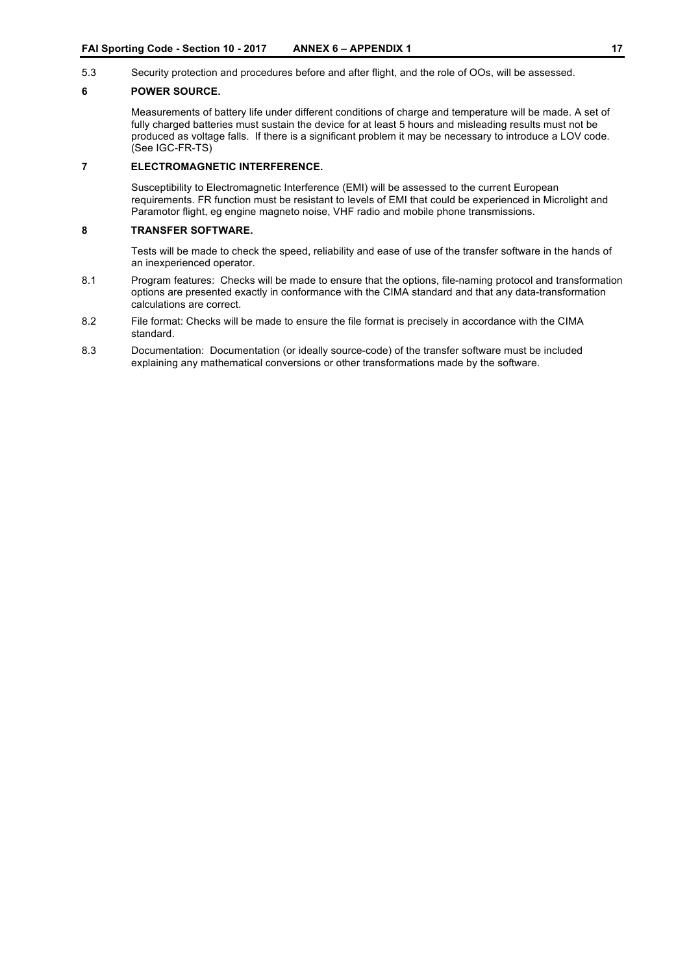5.3 Security protection and procedures before and after flight, and the role of OOs, will be assessed.

#### **6 POWER SOURCE.**

Measurements of battery life under different conditions of charge and temperature will be made. A set of fully charged batteries must sustain the device for at least 5 hours and misleading results must not be produced as voltage falls. If there is a significant problem it may be necessary to introduce a LOV code. (See IGC-FR-TS)

#### **7 ELECTROMAGNETIC INTERFERENCE.**

Susceptibility to Electromagnetic Interference (EMI) will be assessed to the current European requirements. FR function must be resistant to levels of EMI that could be experienced in Microlight and Paramotor flight, eg engine magneto noise, VHF radio and mobile phone transmissions.

#### **8 TRANSFER SOFTWARE.**

Tests will be made to check the speed, reliability and ease of use of the transfer software in the hands of an inexperienced operator.

- 8.1 Program features: Checks will be made to ensure that the options, file-naming protocol and transformation options are presented exactly in conformance with the CIMA standard and that any data-transformation calculations are correct.
- 8.2 File format: Checks will be made to ensure the file format is precisely in accordance with the CIMA standard.
- 8.3 Documentation: Documentation (or ideally source-code) of the transfer software must be included explaining any mathematical conversions or other transformations made by the software.